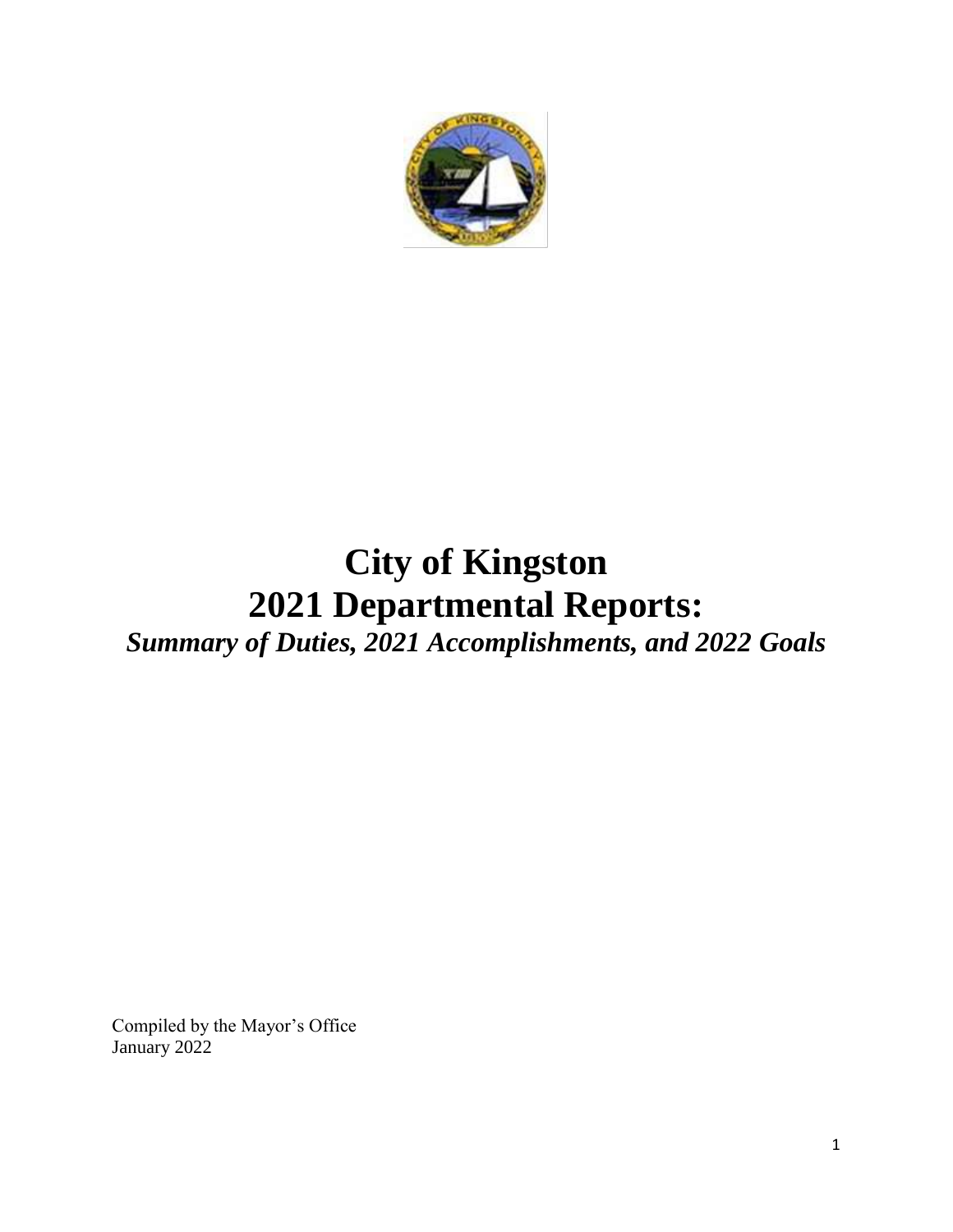

# **City of Kingston 2021 Departmental Reports:**

*Summary of Duties, 2021 Accomplishments, and 2022 Goals* 

Compiled by the Mayor's Office January 2022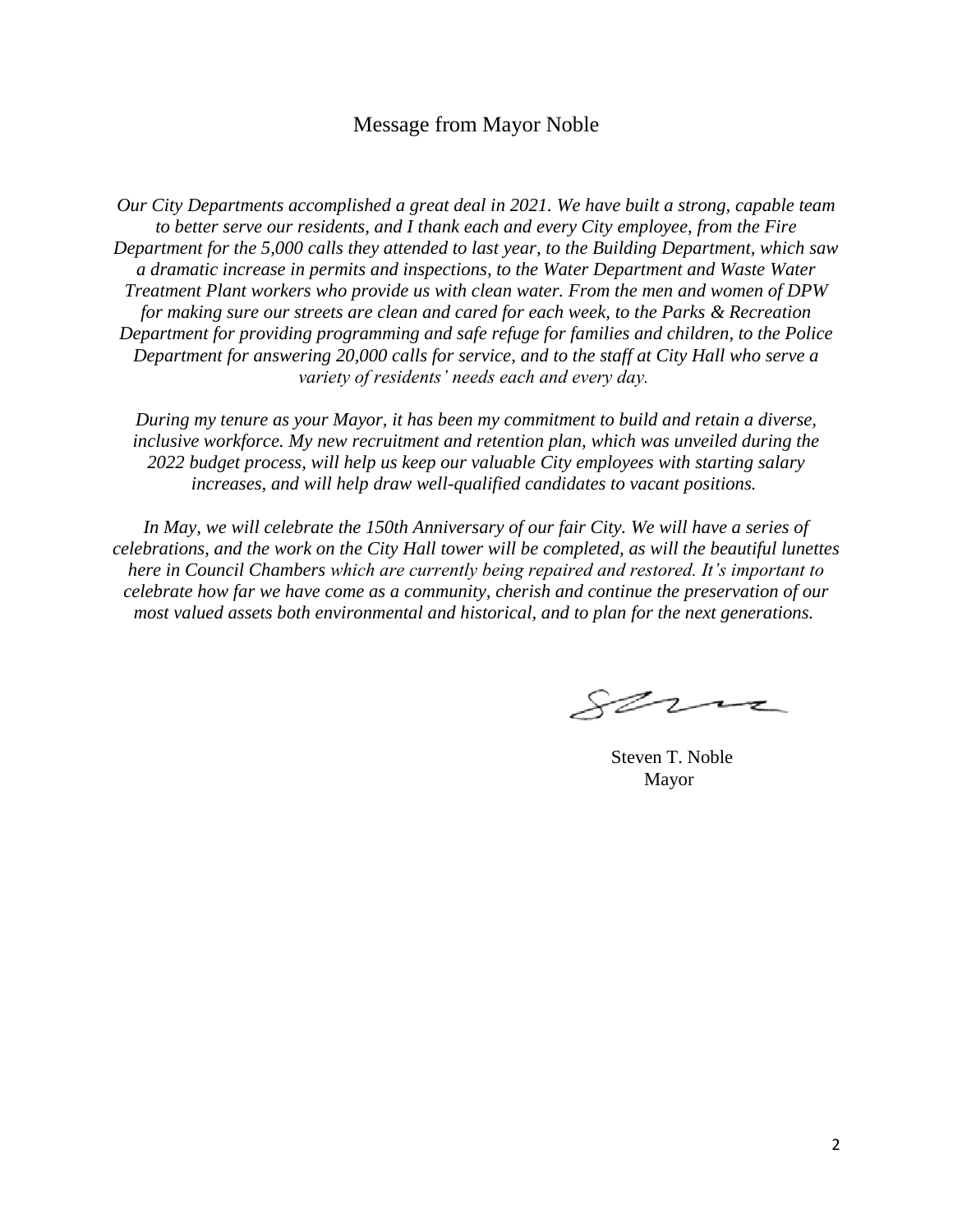## Message from Mayor Noble

*Our City Departments accomplished a great deal in 2021. We have built a strong, capable team to better serve our residents, and I thank each and every City employee, from the Fire Department for the 5,000 calls they attended to last year, to the Building Department, which saw a dramatic increase in permits and inspections, to the Water Department and Waste Water Treatment Plant workers who provide us with clean water. From the men and women of DPW for making sure our streets are clean and cared for each week, to the Parks & Recreation Department for providing programming and safe refuge for families and children, to the Police Department for answering 20,000 calls for service, and to the staff at City Hall who serve a variety of residents' needs each and every day.*

*During my tenure as your Mayor, it has been my commitment to build and retain a diverse, inclusive workforce. My new recruitment and retention plan, which was unveiled during the 2022 budget process, will help us keep our valuable City employees with starting salary increases, and will help draw well-qualified candidates to vacant positions.*

*In May, we will celebrate the 150th Anniversary of our fair City. We will have a series of celebrations, and the work on the City Hall tower will be completed, as will the beautiful lunettes here in Council Chambers which are currently being repaired and restored. It's important to celebrate how far we have come as a community, cherish and continue the preservation of our most valued assets both environmental and historical, and to plan for the next generations.*

serna

Steven T. Noble Mayor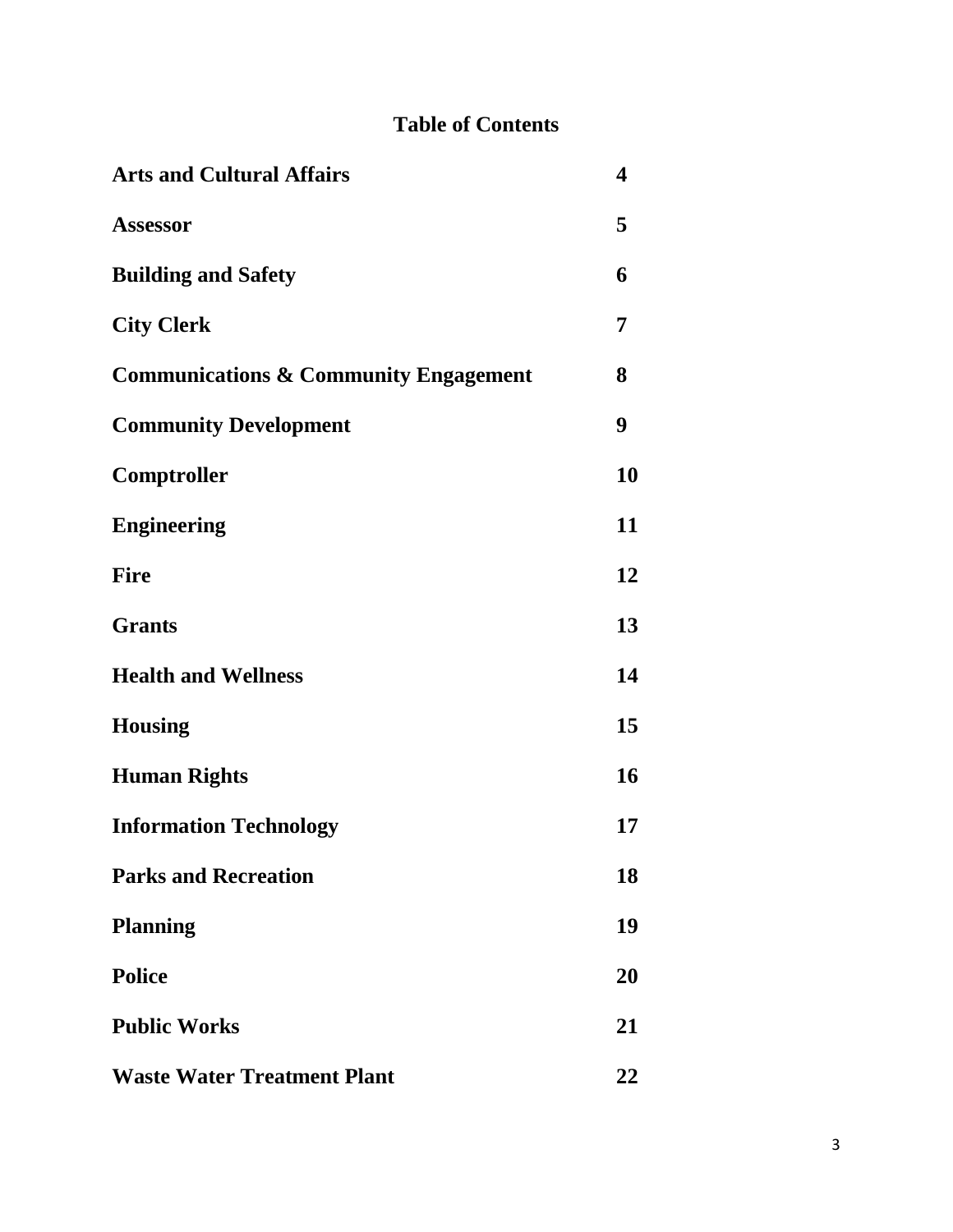## **Table of Contents**

| <b>Arts and Cultural Affairs</b>                 | 4  |
|--------------------------------------------------|----|
| <b>Assessor</b>                                  | 5  |
| <b>Building and Safety</b>                       | 6  |
| <b>City Clerk</b>                                | 7  |
| <b>Communications &amp; Community Engagement</b> | 8  |
| <b>Community Development</b>                     | 9  |
| Comptroller                                      | 10 |
| <b>Engineering</b>                               | 11 |
| <b>Fire</b>                                      | 12 |
| <b>Grants</b>                                    | 13 |
| <b>Health and Wellness</b>                       | 14 |
| <b>Housing</b>                                   | 15 |
| <b>Human Rights</b>                              | 16 |
| <b>Information Technology</b>                    | 17 |
| <b>Parks and Recreation</b>                      | 18 |
| <b>Planning</b>                                  | 19 |
| <b>Police</b>                                    | 20 |
| <b>Public Works</b>                              | 21 |
| <b>Waste Water Treatment Plant</b>               | 22 |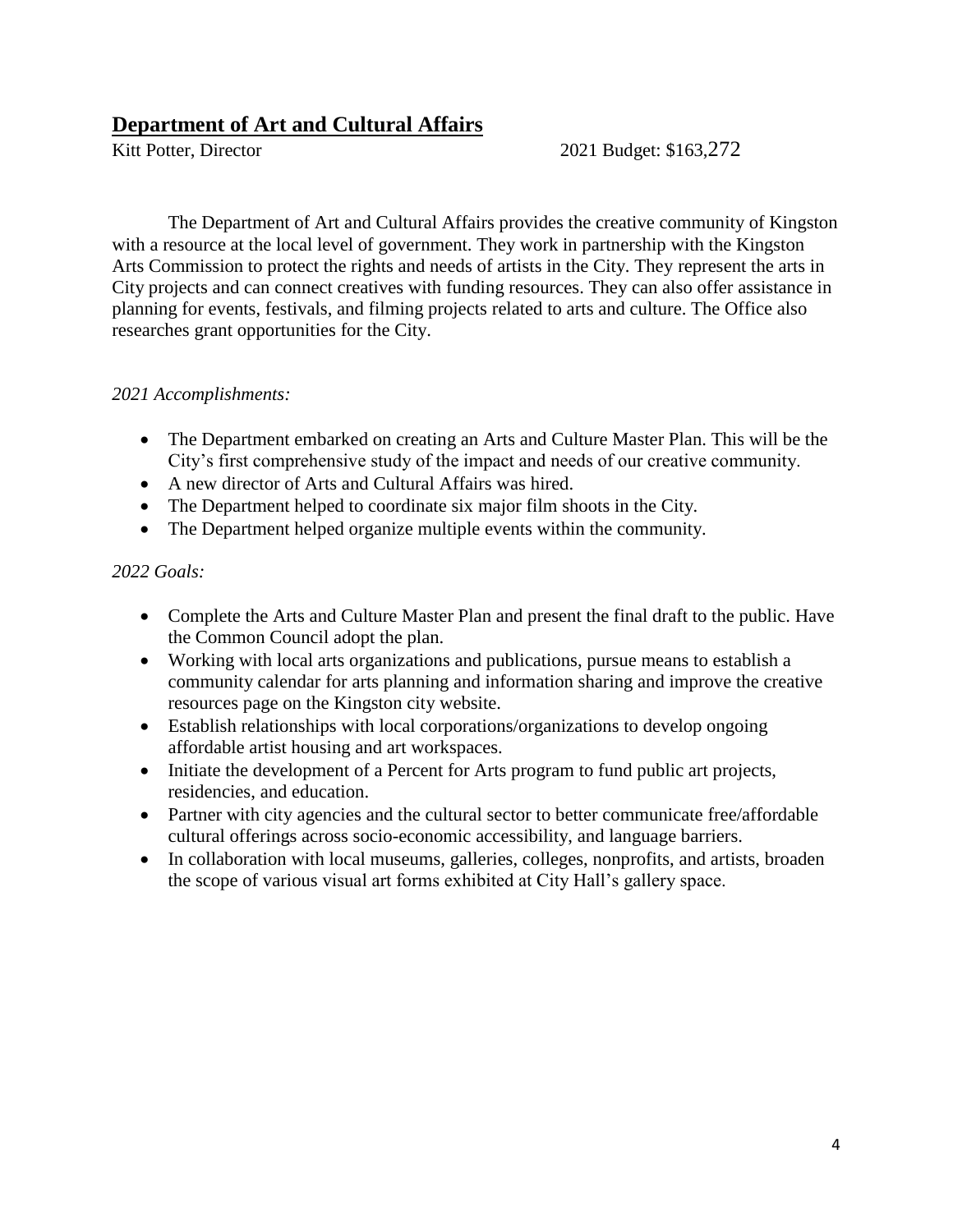## **Department of Art and Cultural Affairs**

Kitt Potter, Director 2021 Budget: \$163,272

The Department of Art and Cultural Affairs provides the creative community of Kingston with a resource at the local level of government. They work in partnership with the Kingston Arts Commission to protect the rights and needs of artists in the City. They represent the arts in City projects and can connect creatives with funding resources. They can also offer assistance in planning for events, festivals, and filming projects related to arts and culture. The Office also researches grant opportunities for the City.

## *2021 Accomplishments:*

- The Department embarked on creating an Arts and Culture Master Plan. This will be the City's first comprehensive study of the impact and needs of our creative community.
- A new director of Arts and Cultural Affairs was hired.
- The Department helped to coordinate six major film shoots in the City.
- The Department helped organize multiple events within the community.

- Complete the Arts and Culture Master Plan and present the final draft to the public. Have the Common Council adopt the plan.
- Working with local arts organizations and publications, pursue means to establish a community calendar for arts planning and information sharing and improve the creative resources page on the Kingston city website.
- Establish relationships with local corporations/organizations to develop ongoing affordable artist housing and art workspaces.
- Initiate the development of a Percent for Arts program to fund public art projects, residencies, and education.
- Partner with city agencies and the cultural sector to better communicate free/affordable cultural offerings across socio-economic accessibility, and language barriers.
- In collaboration with local museums, galleries, colleges, nonprofits, and artists, broaden the scope of various visual art forms exhibited at City Hall's gallery space.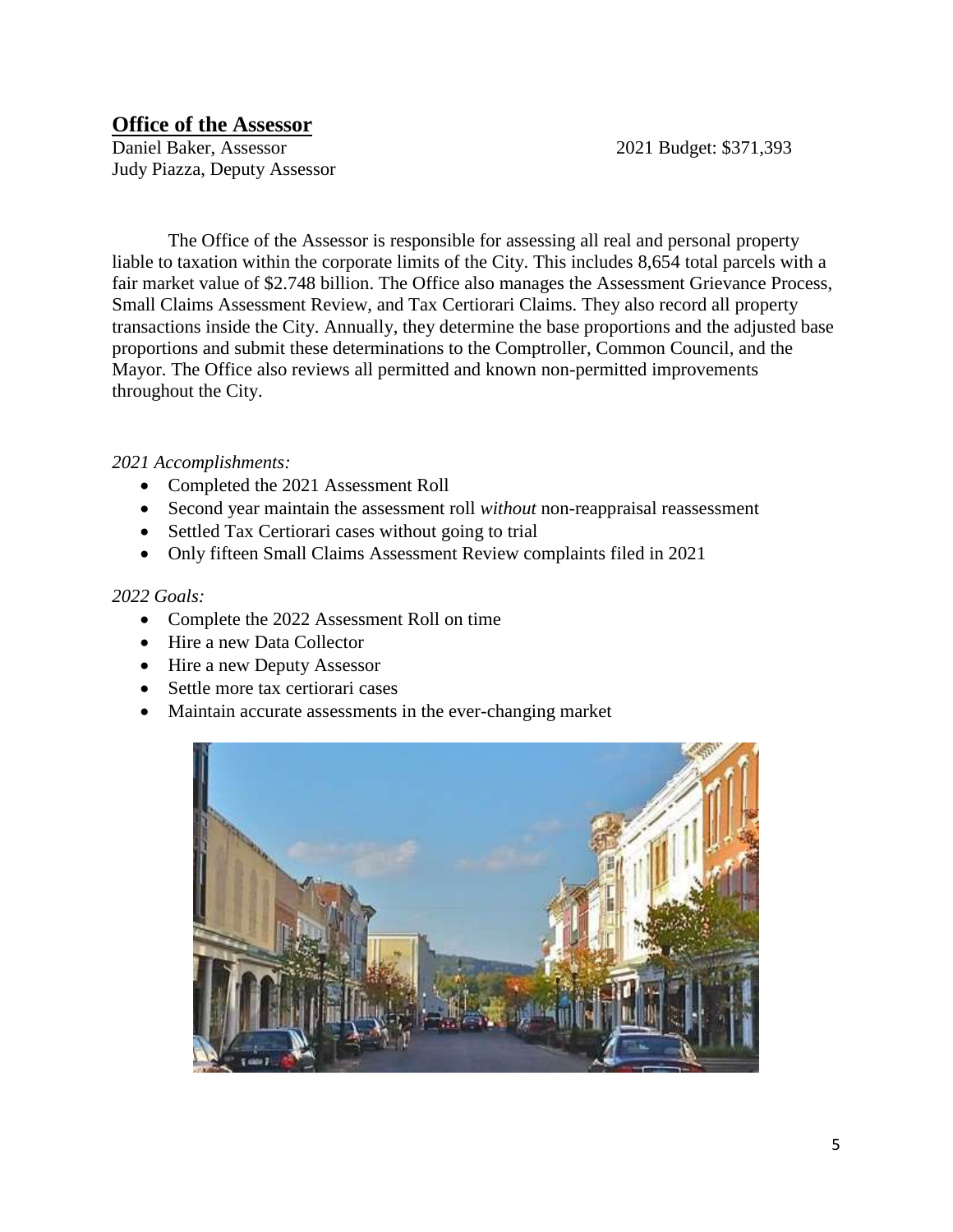## **Office of the Assessor**

Daniel Baker, Assessor 2021 Budget: \$371,393 Judy Piazza, Deputy Assessor

The Office of the Assessor is responsible for assessing all real and personal property liable to taxation within the corporate limits of the City. This includes 8,654 total parcels with a fair market value of \$2.748 billion. The Office also manages the Assessment Grievance Process, Small Claims Assessment Review, and Tax Certiorari Claims. They also record all property transactions inside the City. Annually, they determine the base proportions and the adjusted base proportions and submit these determinations to the Comptroller, Common Council, and the Mayor. The Office also reviews all permitted and known non-permitted improvements throughout the City.

## *2021 Accomplishments:*

- Completed the 2021 Assessment Roll
- Second year maintain the assessment roll *without* non-reappraisal reassessment
- Settled Tax Certiorari cases without going to trial
- Only fifteen Small Claims Assessment Review complaints filed in 2021

- Complete the 2022 Assessment Roll on time
- Hire a new Data Collector
- Hire a new Deputy Assessor
- Settle more tax certiorari cases
- Maintain accurate assessments in the ever-changing market

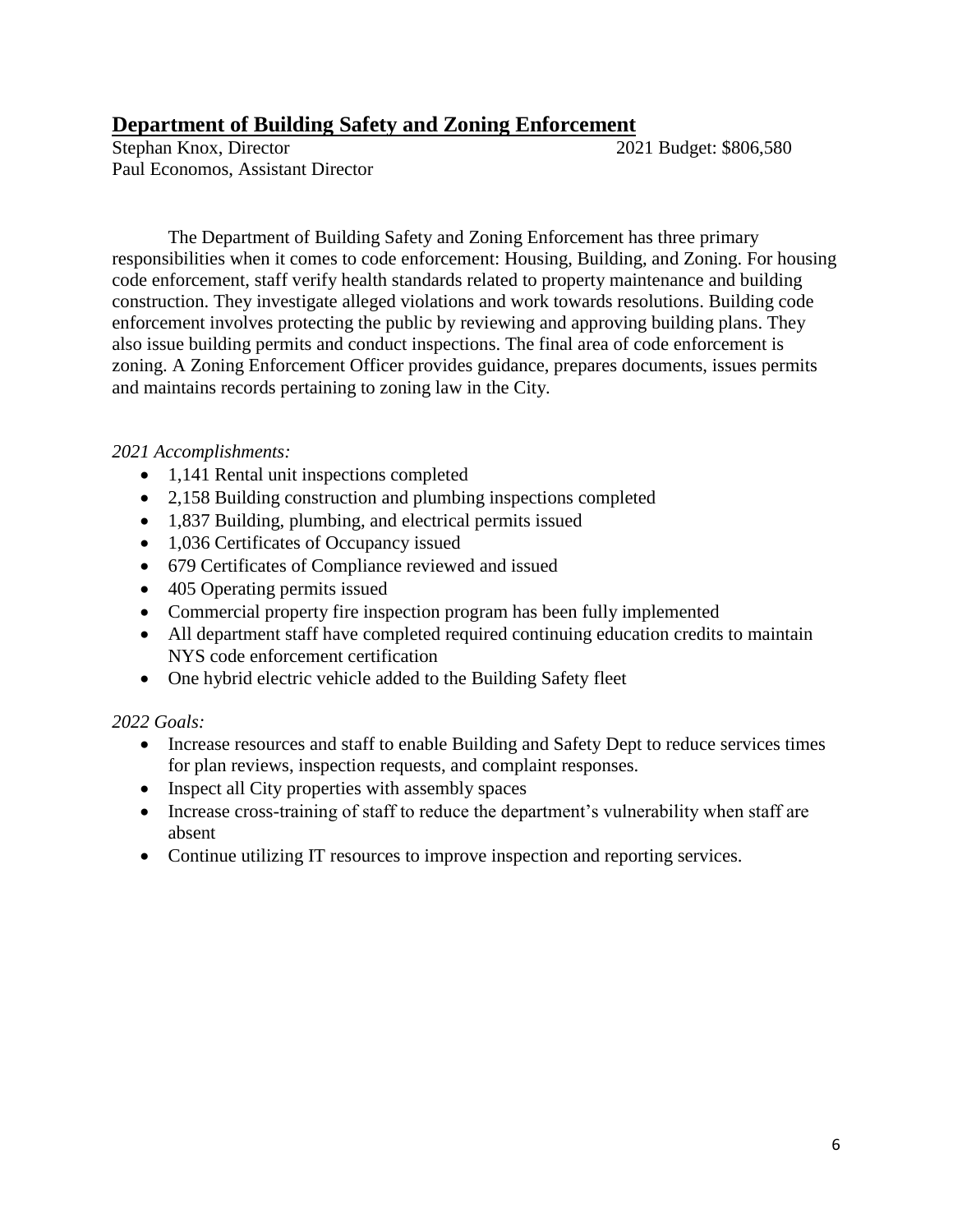## **Department of Building Safety and Zoning Enforcement**

Stephan Knox, Director 2021 Budget: \$806,580 Paul Economos, Assistant Director

The Department of Building Safety and Zoning Enforcement has three primary responsibilities when it comes to code enforcement: Housing, Building, and Zoning. For housing code enforcement, staff verify health standards related to property maintenance and building construction. They investigate alleged violations and work towards resolutions. Building code enforcement involves protecting the public by reviewing and approving building plans. They also issue building permits and conduct inspections. The final area of code enforcement is zoning. A Zoning Enforcement Officer provides guidance, prepares documents, issues permits and maintains records pertaining to zoning law in the City.

## *2021 Accomplishments:*

- 1,141 Rental unit inspections completed
- 2,158 Building construction and plumbing inspections completed
- 1,837 Building, plumbing, and electrical permits issued
- 1,036 Certificates of Occupancy issued
- 679 Certificates of Compliance reviewed and issued
- 405 Operating permits issued
- Commercial property fire inspection program has been fully implemented
- All department staff have completed required continuing education credits to maintain NYS code enforcement certification
- One hybrid electric vehicle added to the Building Safety fleet

- Increase resources and staff to enable Building and Safety Dept to reduce services times for plan reviews, inspection requests, and complaint responses.
- Inspect all City properties with assembly spaces
- Increase cross-training of staff to reduce the department's vulnerability when staff are absent
- Continue utilizing IT resources to improve inspection and reporting services.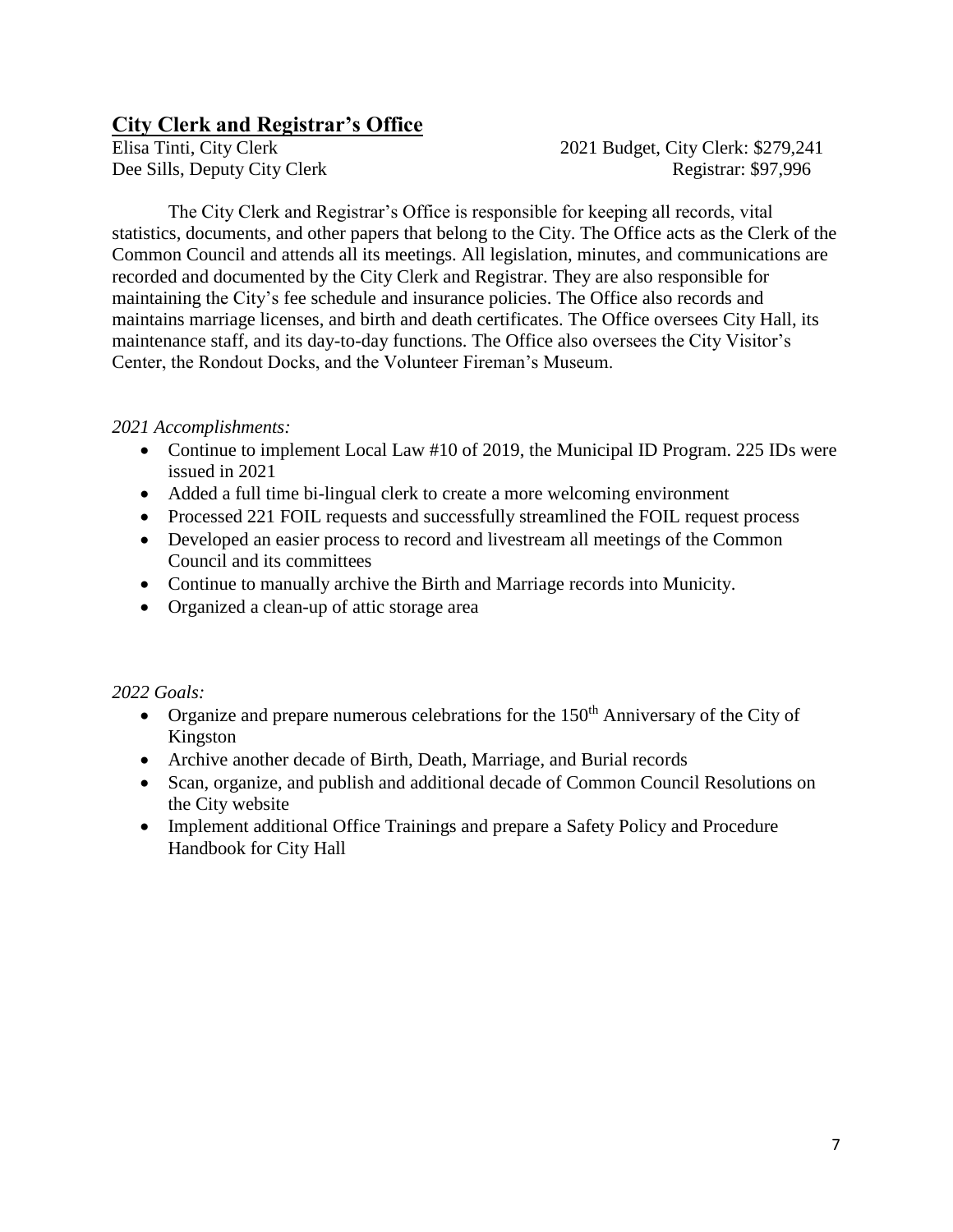## **City Clerk and Registrar's Office**

Elisa Tinti, City Clerk 2021 Budget, City Clerk: \$279,241 Dee Sills, Deputy City Clerk Registrar: \$97,996

The City Clerk and Registrar's Office is responsible for keeping all records, vital statistics, documents, and other papers that belong to the City. The Office acts as the Clerk of the Common Council and attends all its meetings. All legislation, minutes, and communications are recorded and documented by the City Clerk and Registrar. They are also responsible for maintaining the City's fee schedule and insurance policies. The Office also records and maintains marriage licenses, and birth and death certificates. The Office oversees City Hall, its maintenance staff, and its day-to-day functions. The Office also oversees the City Visitor's Center, the Rondout Docks, and the Volunteer Fireman's Museum.

## *2021 Accomplishments:*

- Continue to implement Local Law #10 of 2019, the Municipal ID Program. 225 IDs were issued in 2021
- Added a full time bi-lingual clerk to create a more welcoming environment
- Processed 221 FOIL requests and successfully streamlined the FOIL request process
- Developed an easier process to record and livestream all meetings of the Common Council and its committees
- Continue to manually archive the Birth and Marriage records into Municity.
- Organized a clean-up of attic storage area

- Organize and prepare numerous celebrations for the  $150<sup>th</sup>$  Anniversary of the City of Kingston
- Archive another decade of Birth, Death, Marriage, and Burial records
- Scan, organize, and publish and additional decade of Common Council Resolutions on the City website
- Implement additional Office Trainings and prepare a Safety Policy and Procedure Handbook for City Hall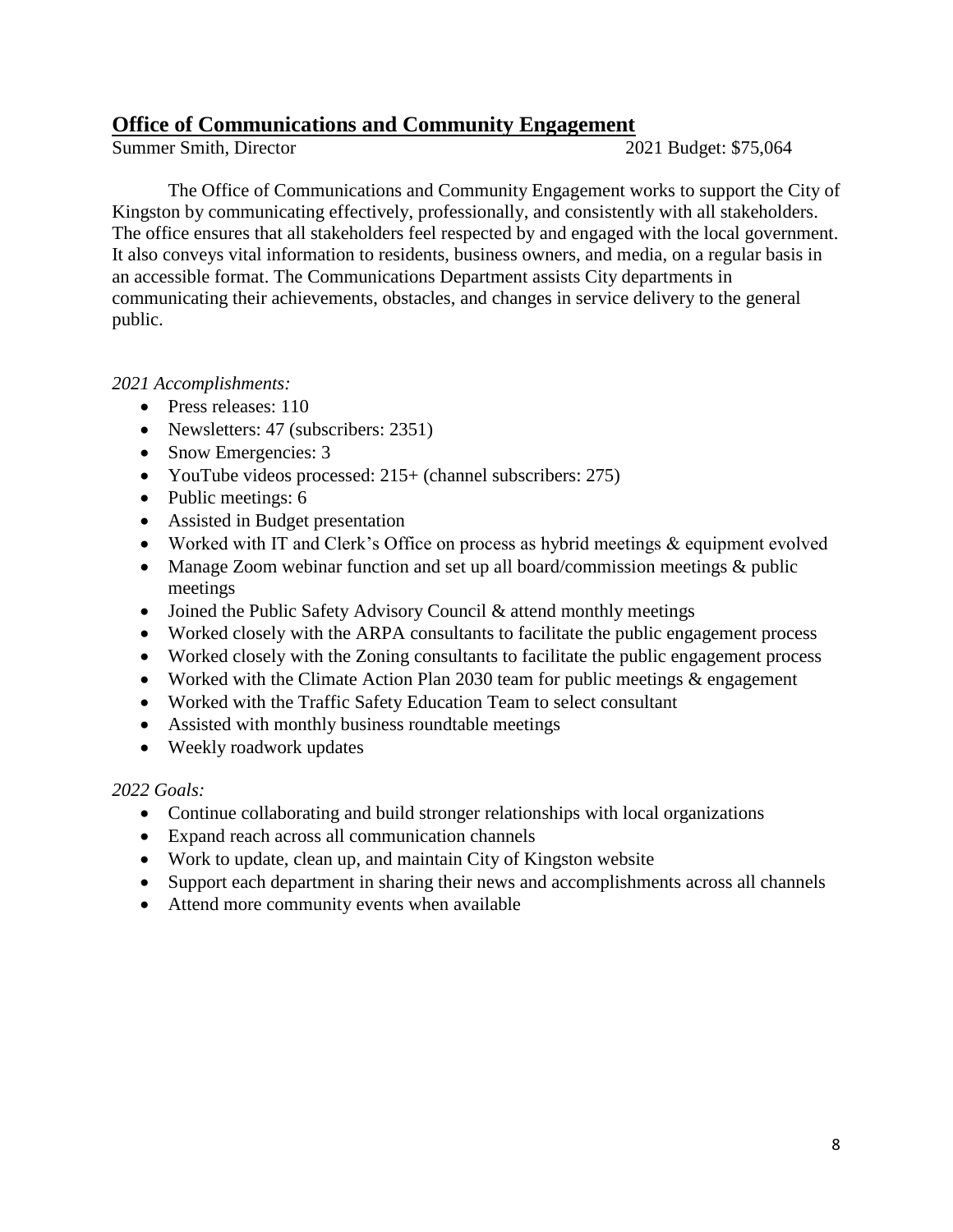## **Office of Communications and Community Engagement**

Summer Smith, Director 2021 Budget: \$75,064

The Office of Communications and Community Engagement works to support the City of Kingston by communicating effectively, professionally, and consistently with all stakeholders. The office ensures that all stakeholders feel respected by and engaged with the local government. It also conveys vital information to residents, business owners, and media, on a regular basis in an accessible format. The Communications Department assists City departments in communicating their achievements, obstacles, and changes in service delivery to the general public.

*2021 Accomplishments:* 

- Press releases: 110
- Newsletters: 47 (subscribers: 2351)
- Snow Emergencies: 3
- YouTube videos processed: 215+ (channel subscribers: 275)
- Public meetings: 6
- Assisted in Budget presentation
- Worked with IT and Clerk's Office on process as hybrid meetings & equipment evolved
- Manage Zoom webinar function and set up all board/commission meetings & public meetings
- Joined the Public Safety Advisory Council & attend monthly meetings
- Worked closely with the ARPA consultants to facilitate the public engagement process
- Worked closely with the Zoning consultants to facilitate the public engagement process
- Worked with the Climate Action Plan 2030 team for public meetings & engagement
- Worked with the Traffic Safety Education Team to select consultant
- Assisted with monthly business roundtable meetings
- Weekly roadwork updates

- Continue collaborating and build stronger relationships with local organizations
- Expand reach across all communication channels
- Work to update, clean up, and maintain City of Kingston website
- Support each department in sharing their news and accomplishments across all channels
- Attend more community events when available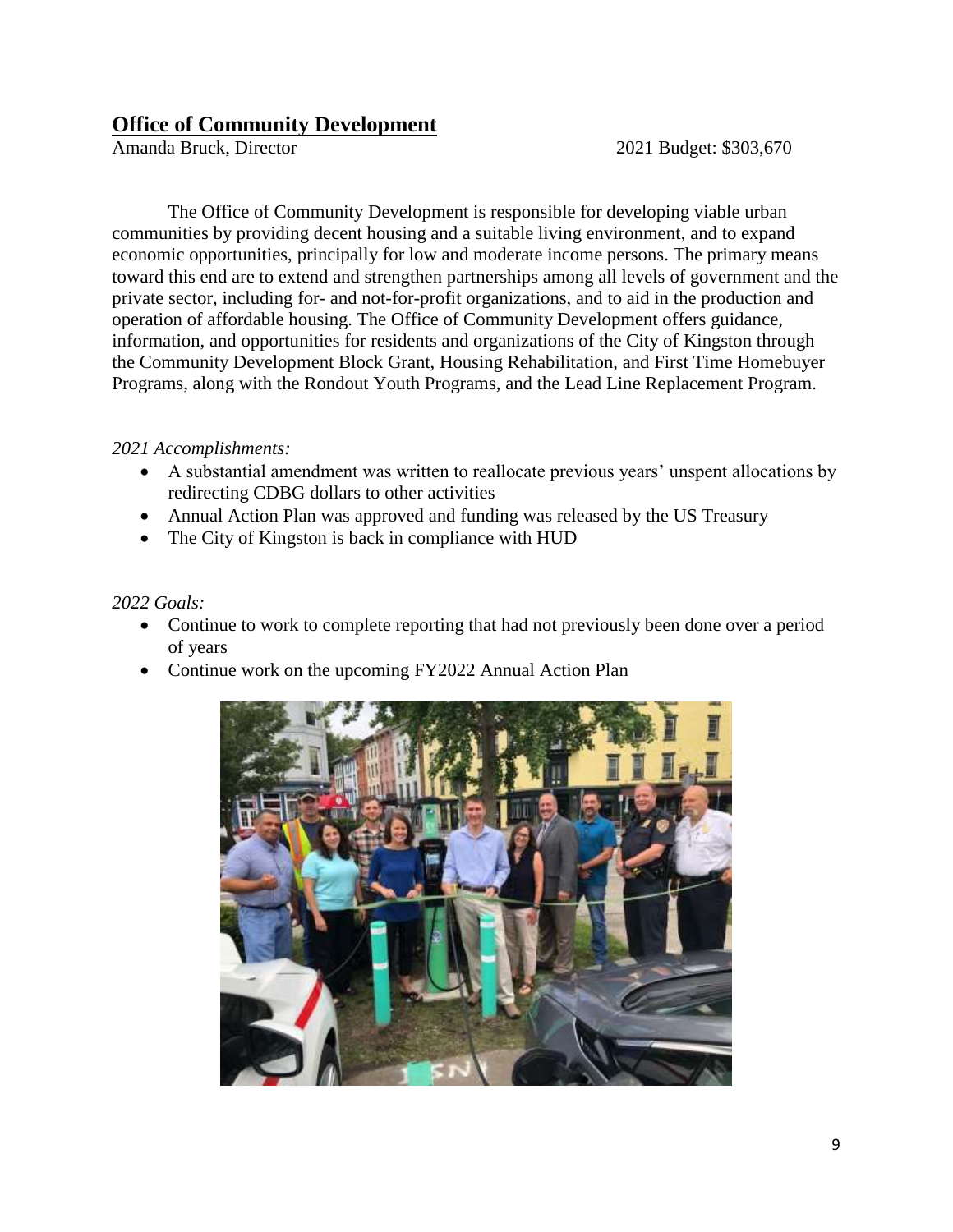## **Office of Community Development**

Amanda Bruck, Director 2021 Budget: \$303,670

The Office of Community Development is responsible for developing viable urban communities by providing decent housing and a suitable living environment, and to expand economic opportunities, principally for low and moderate income persons. The primary means toward this end are to extend and strengthen partnerships among all levels of government and the private sector, including for- and not-for-profit organizations, and to aid in the production and operation of affordable housing. The Office of Community Development offers guidance, information, and opportunities for residents and organizations of the City of Kingston through the Community Development Block Grant, Housing Rehabilitation, and First Time Homebuyer Programs, along with the Rondout Youth Programs, and the Lead Line Replacement Program.

## *2021 Accomplishments:*

- A substantial amendment was written to reallocate previous years' unspent allocations by redirecting CDBG dollars to other activities
- Annual Action Plan was approved and funding was released by the US Treasury
- The City of Kingston is back in compliance with HUD

- Continue to work to complete reporting that had not previously been done over a period of years
- Continue work on the upcoming FY2022 Annual Action Plan

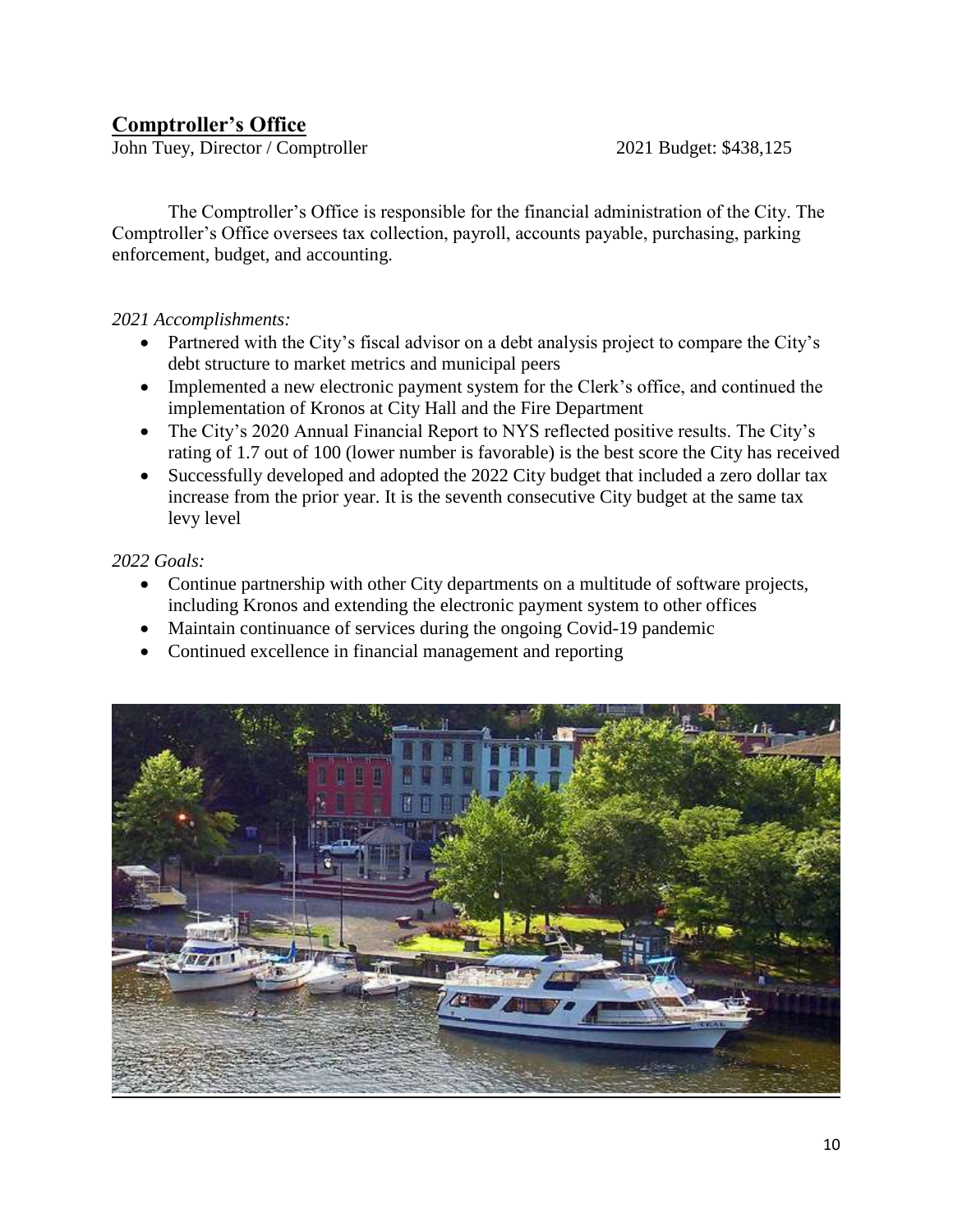## **Comptroller's Office**

John Tuey, Director / Comptroller 2021 Budget: \$438,125

The Comptroller's Office is responsible for the financial administration of the City. The Comptroller's Office oversees tax collection, payroll, accounts payable, purchasing, parking enforcement, budget, and accounting.

## *2021 Accomplishments:*

- Partnered with the City's fiscal advisor on a debt analysis project to compare the City's debt structure to market metrics and municipal peers
- Implemented a new electronic payment system for the Clerk's office, and continued the implementation of Kronos at City Hall and the Fire Department
- The City's 2020 Annual Financial Report to NYS reflected positive results. The City's rating of 1.7 out of 100 (lower number is favorable) is the best score the City has received
- Successfully developed and adopted the 2022 City budget that included a zero dollar tax increase from the prior year. It is the seventh consecutive City budget at the same tax levy level

- Continue partnership with other City departments on a multitude of software projects, including Kronos and extending the electronic payment system to other offices
- Maintain continuance of services during the ongoing Covid-19 pandemic
- Continued excellence in financial management and reporting

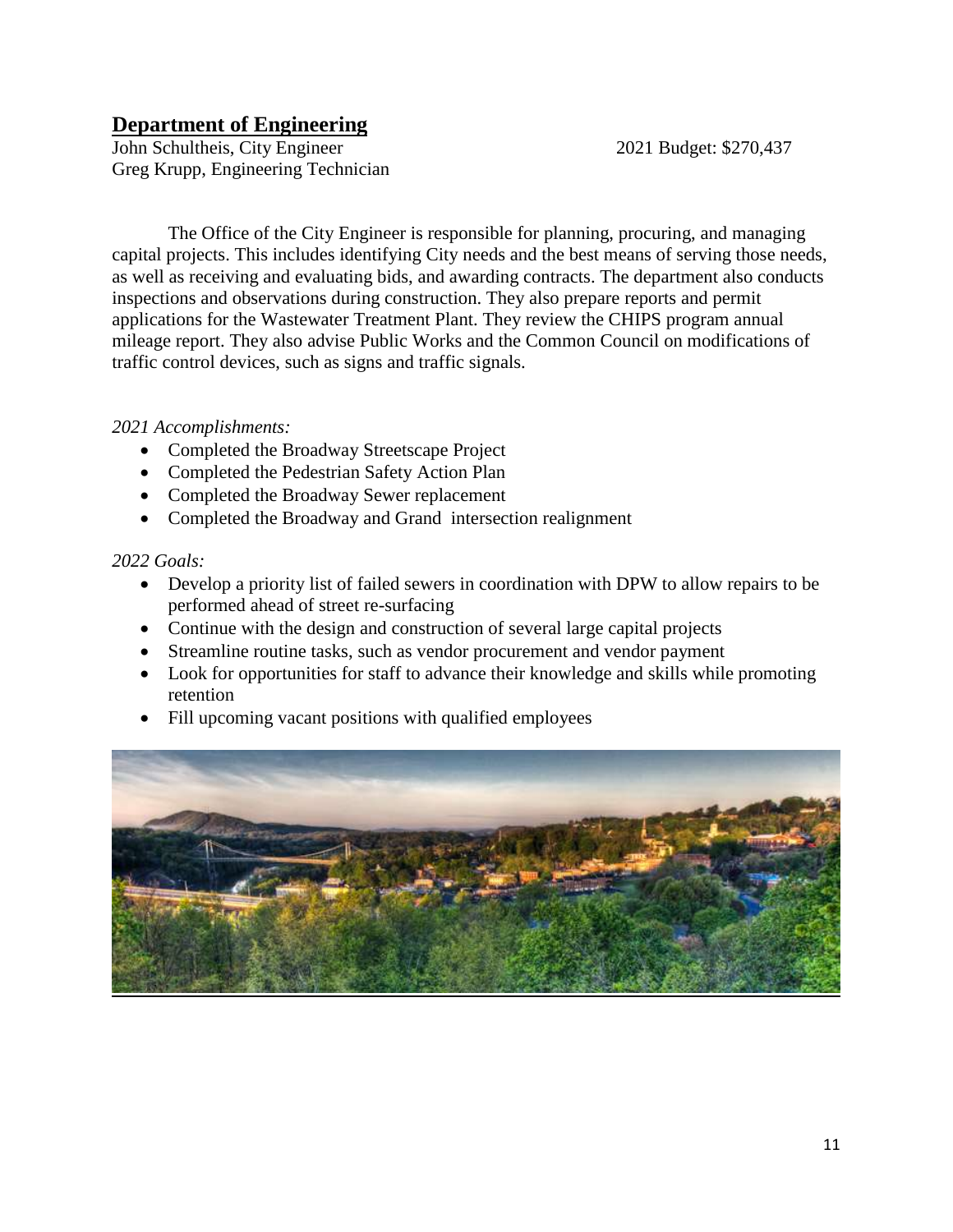## **Department of Engineering**

John Schultheis, City Engineer 2021 Budget: \$270,437 Greg Krupp, Engineering Technician

The Office of the City Engineer is responsible for planning, procuring, and managing capital projects. This includes identifying City needs and the best means of serving those needs, as well as receiving and evaluating bids, and awarding contracts. The department also conducts inspections and observations during construction. They also prepare reports and permit applications for the Wastewater Treatment Plant. They review the CHIPS program annual mileage report. They also advise Public Works and the Common Council on modifications of traffic control devices, such as signs and traffic signals.

## *2021 Accomplishments:*

- Completed the Broadway Streetscape Project
- Completed the Pedestrian Safety Action Plan
- Completed the Broadway Sewer replacement
- Completed the Broadway and Grand intersection realignment

- Develop a priority list of failed sewers in coordination with DPW to allow repairs to be performed ahead of street re-surfacing
- Continue with the design and construction of several large capital projects
- Streamline routine tasks, such as vendor procurement and vendor payment
- Look for opportunities for staff to advance their knowledge and skills while promoting retention
- Fill upcoming vacant positions with qualified employees

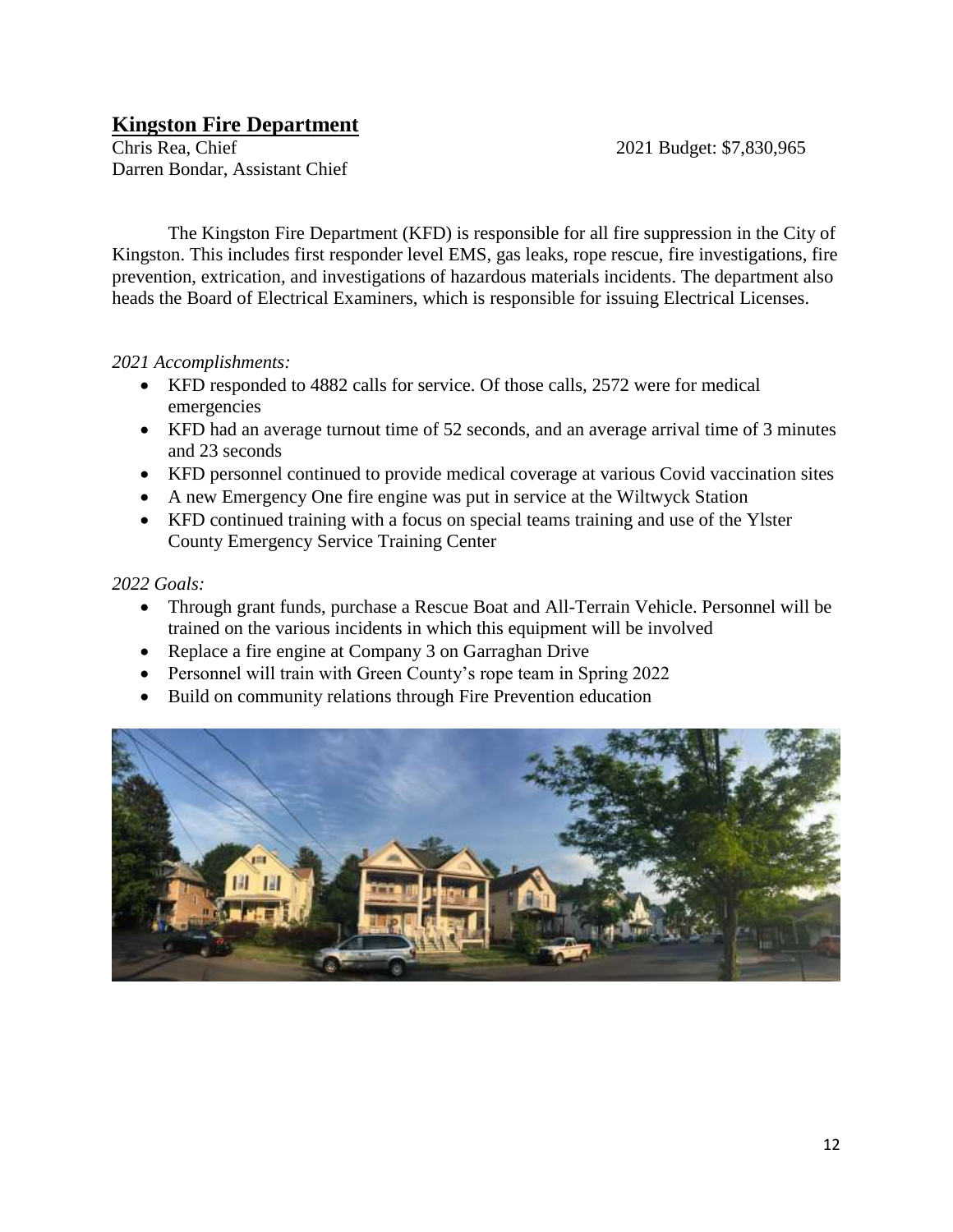## **Kingston Fire Department**

Chris Rea, Chief 2021 Budget: \$7,830,965 Darren Bondar, Assistant Chief

The Kingston Fire Department (KFD) is responsible for all fire suppression in the City of Kingston. This includes first responder level EMS, gas leaks, rope rescue, fire investigations, fire prevention, extrication, and investigations of hazardous materials incidents. The department also heads the Board of Electrical Examiners, which is responsible for issuing Electrical Licenses.

## *2021 Accomplishments:*

- KFD responded to 4882 calls for service. Of those calls, 2572 were for medical emergencies
- KFD had an average turnout time of 52 seconds, and an average arrival time of 3 minutes and 23 seconds
- KFD personnel continued to provide medical coverage at various Covid vaccination sites
- A new Emergency One fire engine was put in service at the Wiltwyck Station
- KFD continued training with a focus on special teams training and use of the Ylster County Emergency Service Training Center

- Through grant funds, purchase a Rescue Boat and All-Terrain Vehicle. Personnel will be trained on the various incidents in which this equipment will be involved
- Replace a fire engine at Company 3 on Garraghan Drive
- Personnel will train with Green County's rope team in Spring 2022
- Build on community relations through Fire Prevention education

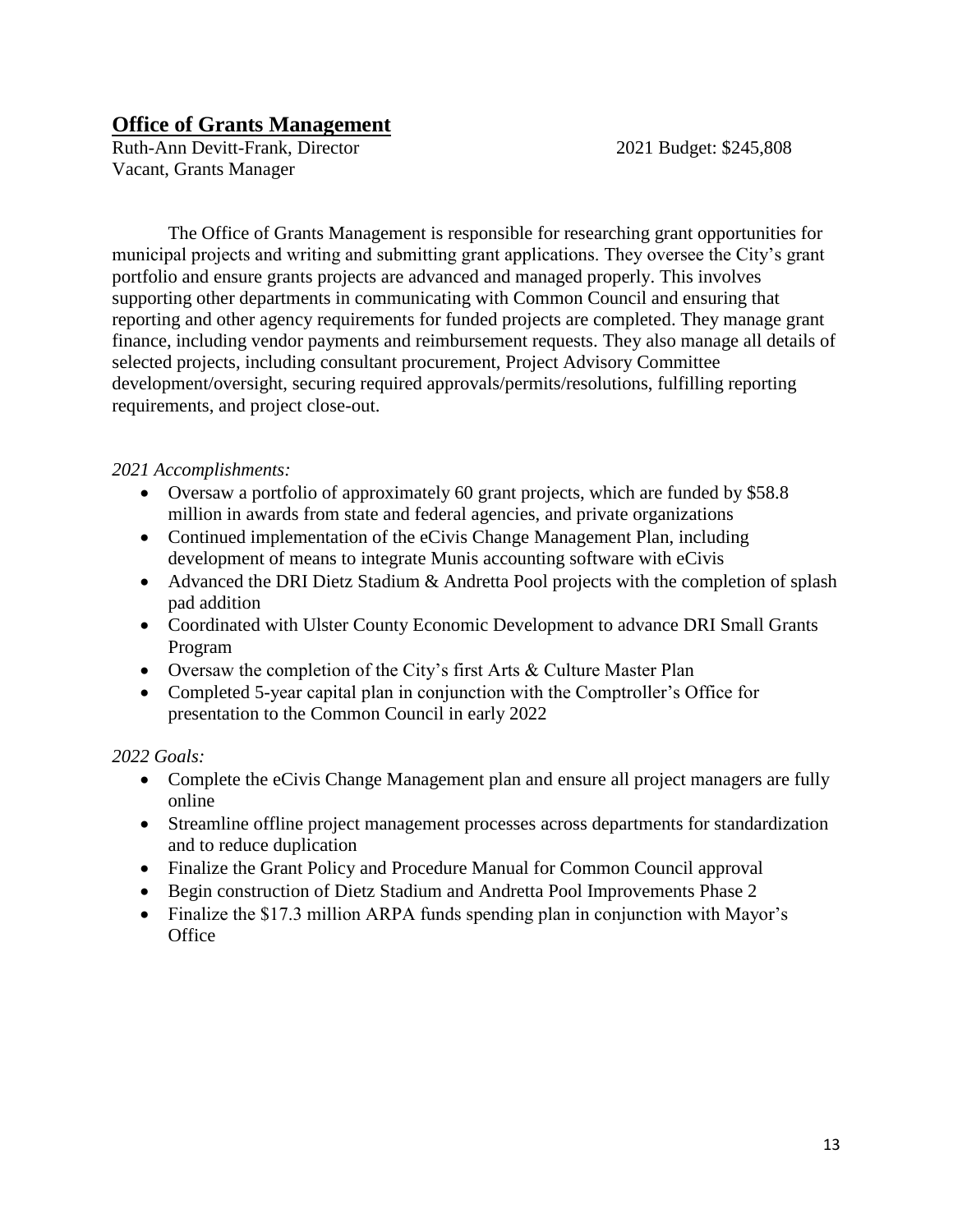## **Office of Grants Management**

Ruth-Ann Devitt-Frank, Director 2021 Budget: \$245,808 Vacant, Grants Manager

The Office of Grants Management is responsible for researching grant opportunities for municipal projects and writing and submitting grant applications. They oversee the City's grant portfolio and ensure grants projects are advanced and managed properly. This involves supporting other departments in communicating with Common Council and ensuring that reporting and other agency requirements for funded projects are completed. They manage grant finance, including vendor payments and reimbursement requests. They also manage all details of selected projects, including consultant procurement, Project Advisory Committee development/oversight, securing required approvals/permits/resolutions, fulfilling reporting requirements, and project close-out.

## *2021 Accomplishments:*

- Oversaw a portfolio of approximately 60 grant projects, which are funded by \$58.8 million in awards from state and federal agencies, and private organizations
- Continued implementation of the eCivis Change Management Plan, including development of means to integrate Munis accounting software with eCivis
- Advanced the DRI Dietz Stadium & Andretta Pool projects with the completion of splash pad addition
- Coordinated with Ulster County Economic Development to advance DRI Small Grants Program
- Oversaw the completion of the City's first Arts & Culture Master Plan
- Completed 5-year capital plan in conjunction with the Comptroller's Office for presentation to the Common Council in early 2022

- Complete the eCivis Change Management plan and ensure all project managers are fully online
- Streamline offline project management processes across departments for standardization and to reduce duplication
- Finalize the Grant Policy and Procedure Manual for Common Council approval
- Begin construction of Dietz Stadium and Andretta Pool Improvements Phase 2
- Finalize the \$17.3 million ARPA funds spending plan in conjunction with Mayor's **Office**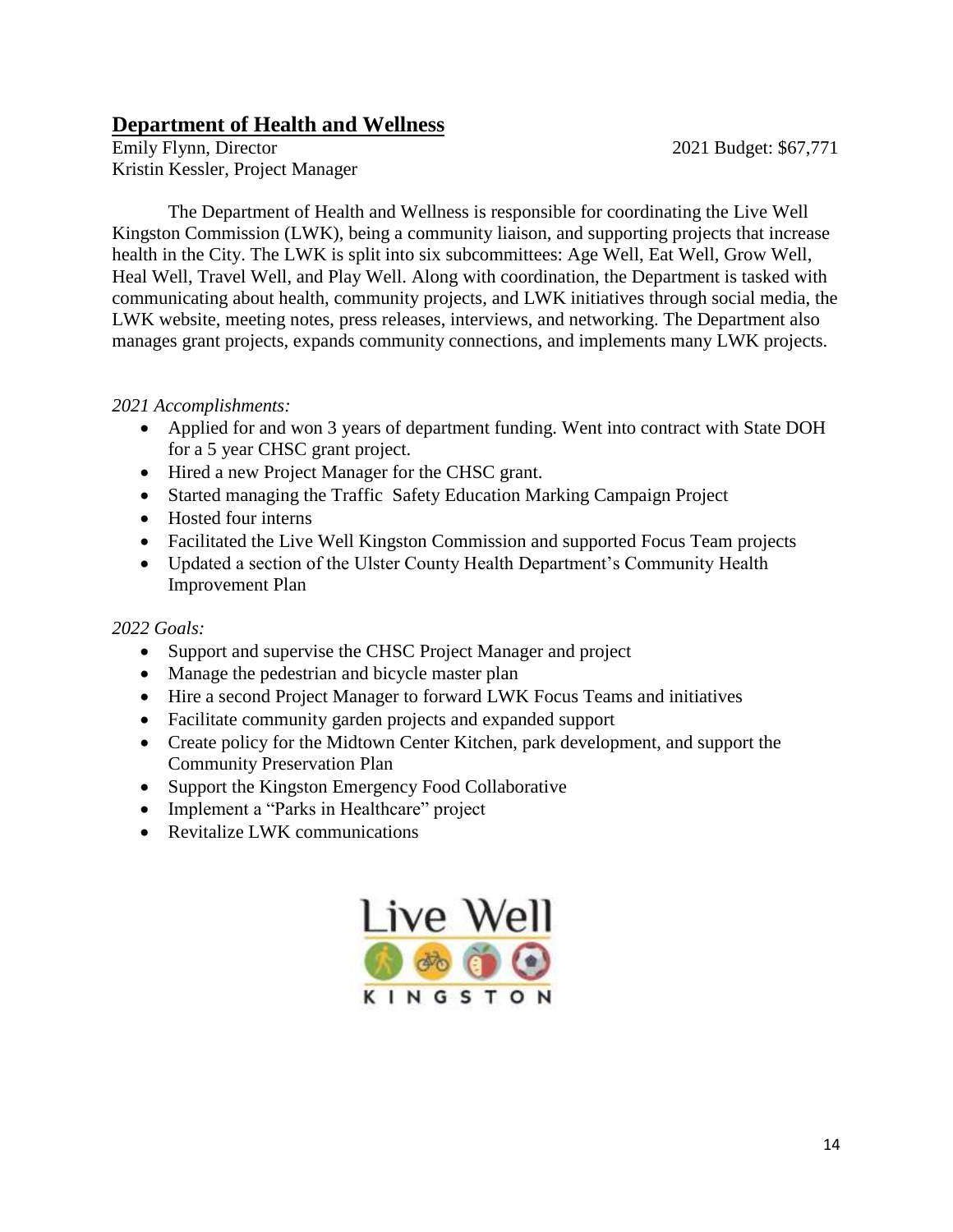## **Department of Health and Wellness**

Emily Flynn, Director 2021 Budget: \$67,771 Kristin Kessler, Project Manager

The Department of Health and Wellness is responsible for coordinating the Live Well Kingston Commission (LWK), being a community liaison, and supporting projects that increase health in the City. The LWK is split into six subcommittees: Age Well, Eat Well, Grow Well, Heal Well, Travel Well, and Play Well. Along with coordination, the Department is tasked with communicating about health, community projects, and LWK initiatives through social media, the LWK website, meeting notes, press releases, interviews, and networking. The Department also manages grant projects, expands community connections, and implements many LWK projects.

## *2021 Accomplishments:*

- Applied for and won 3 years of department funding. Went into contract with State DOH for a 5 year CHSC grant project.
- Hired a new Project Manager for the CHSC grant.
- Started managing the Traffic Safety Education Marking Campaign Project
- Hosted four interns
- Facilitated the Live Well Kingston Commission and supported Focus Team projects
- Updated a section of the Ulster County Health Department's Community Health Improvement Plan

- Support and supervise the CHSC Project Manager and project
- Manage the pedestrian and bicycle master plan
- Hire a second Project Manager to forward LWK Focus Teams and initiatives
- Facilitate community garden projects and expanded support
- Create policy for the Midtown Center Kitchen, park development, and support the Community Preservation Plan
- Support the Kingston Emergency Food Collaborative
- Implement a "Parks in Healthcare" project
- Revitalize LWK communications

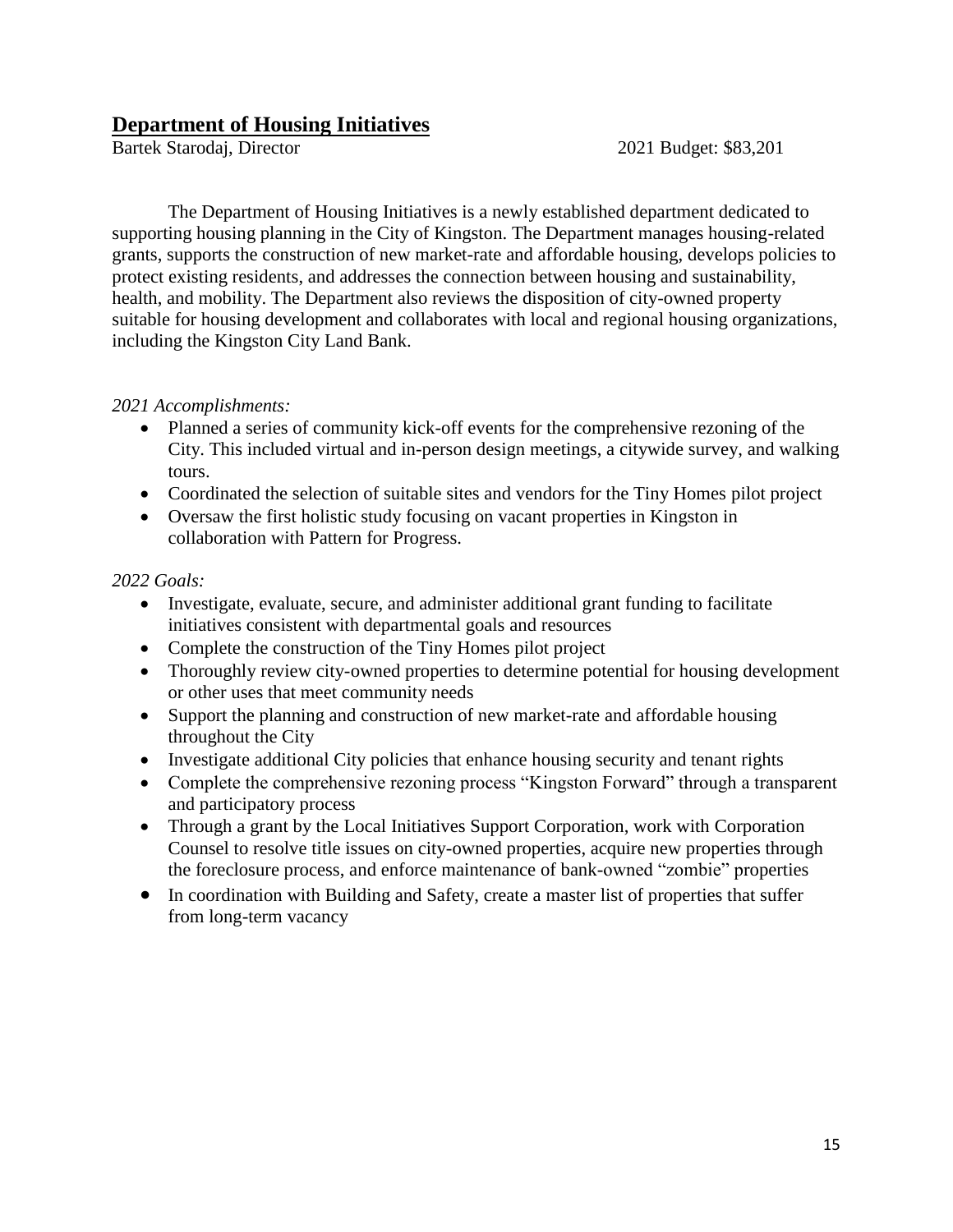## **Department of Housing Initiatives**

Bartek Starodaj, Director 2021 Budget: \$83,201

 The Department of Housing Initiatives is a newly established department dedicated to supporting housing planning in the City of Kingston. The Department manages housing-related grants, supports the construction of new market-rate and affordable housing, develops policies to protect existing residents, and addresses the connection between housing and sustainability, health, and mobility. The Department also reviews the disposition of city-owned property suitable for housing development and collaborates with local and regional housing organizations, including the Kingston City Land Bank.

## *2021 Accomplishments:*

- Planned a series of community kick-off events for the comprehensive rezoning of the City. This included virtual and in-person design meetings, a citywide survey, and walking tours.
- Coordinated the selection of suitable sites and vendors for the Tiny Homes pilot project
- Oversaw the first holistic study focusing on vacant properties in Kingston in collaboration with Pattern for Progress.

- Investigate, evaluate, secure, and administer additional grant funding to facilitate initiatives consistent with departmental goals and resources
- Complete the construction of the Tiny Homes pilot project
- Thoroughly review city-owned properties to determine potential for housing development or other uses that meet community needs
- Support the planning and construction of new market-rate and affordable housing throughout the City
- Investigate additional City policies that enhance housing security and tenant rights
- Complete the comprehensive rezoning process "Kingston Forward" through a transparent and participatory process
- Through a grant by the Local Initiatives Support Corporation, work with Corporation Counsel to resolve title issues on city-owned properties, acquire new properties through the foreclosure process, and enforce maintenance of bank-owned "zombie" properties
- In coordination with Building and Safety, create a master list of properties that suffer from long-term vacancy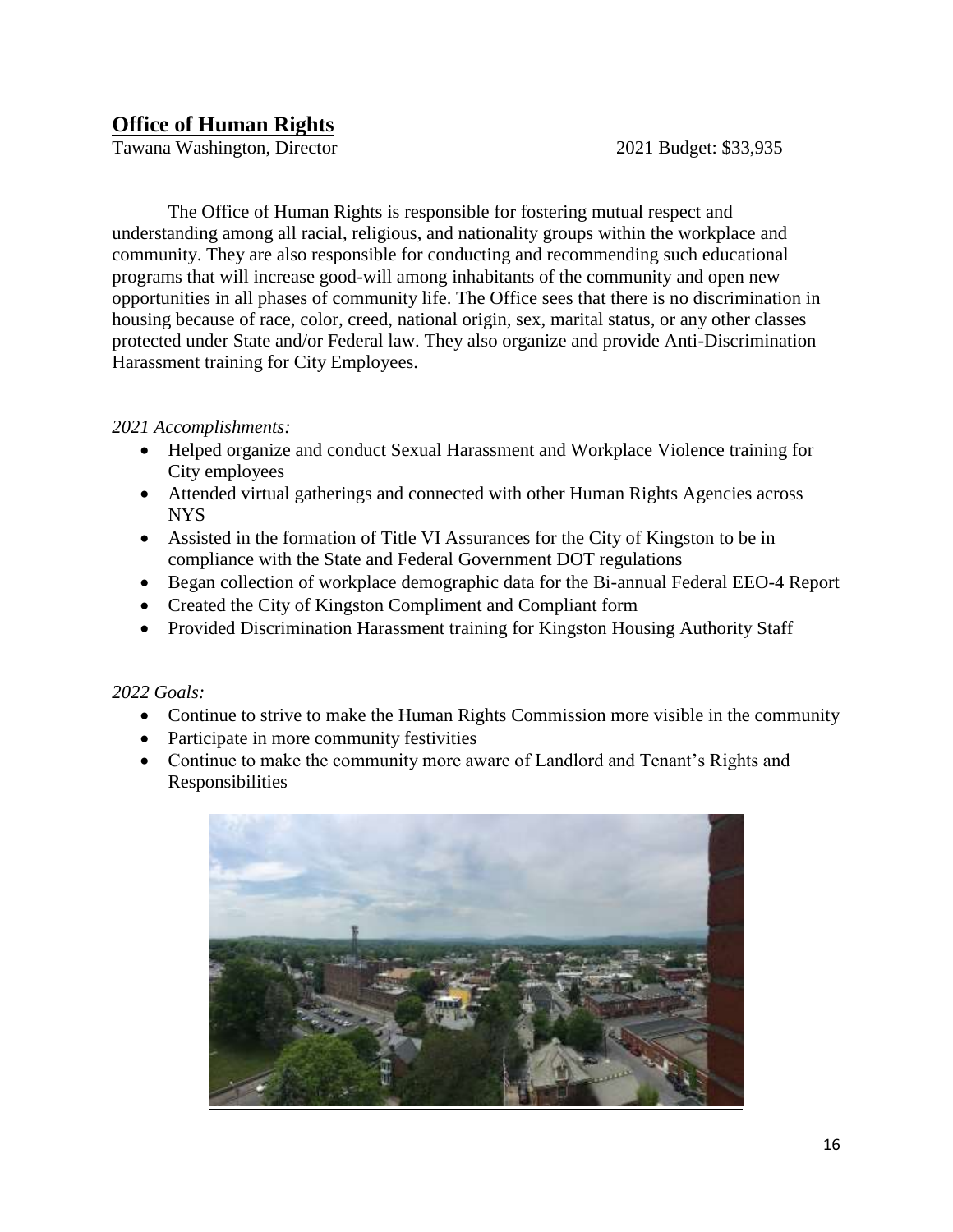## **Office of Human Rights**

Tawana Washington, Director 2021 Budget: \$33,935

The Office of Human Rights is responsible for fostering mutual respect and understanding among all racial, religious, and nationality groups within the workplace and community. They are also responsible for conducting and recommending such educational programs that will increase good-will among inhabitants of the community and open new opportunities in all phases of community life. The Office sees that there is no discrimination in housing because of race, color, creed, national origin, sex, marital status, or any other classes protected under State and/or Federal law. They also organize and provide Anti-Discrimination Harassment training for City Employees.

#### *2021 Accomplishments:*

- Helped organize and conduct Sexual Harassment and Workplace Violence training for City employees
- Attended virtual gatherings and connected with other Human Rights Agencies across NYS
- Assisted in the formation of Title VI Assurances for the City of Kingston to be in compliance with the State and Federal Government DOT regulations
- Began collection of workplace demographic data for the Bi-annual Federal EEO-4 Report
- Created the City of Kingston Compliment and Compliant form
- Provided Discrimination Harassment training for Kingston Housing Authority Staff

- Continue to strive to make the Human Rights Commission more visible in the community
- Participate in more community festivities
- Continue to make the community more aware of Landlord and Tenant's Rights and Responsibilities

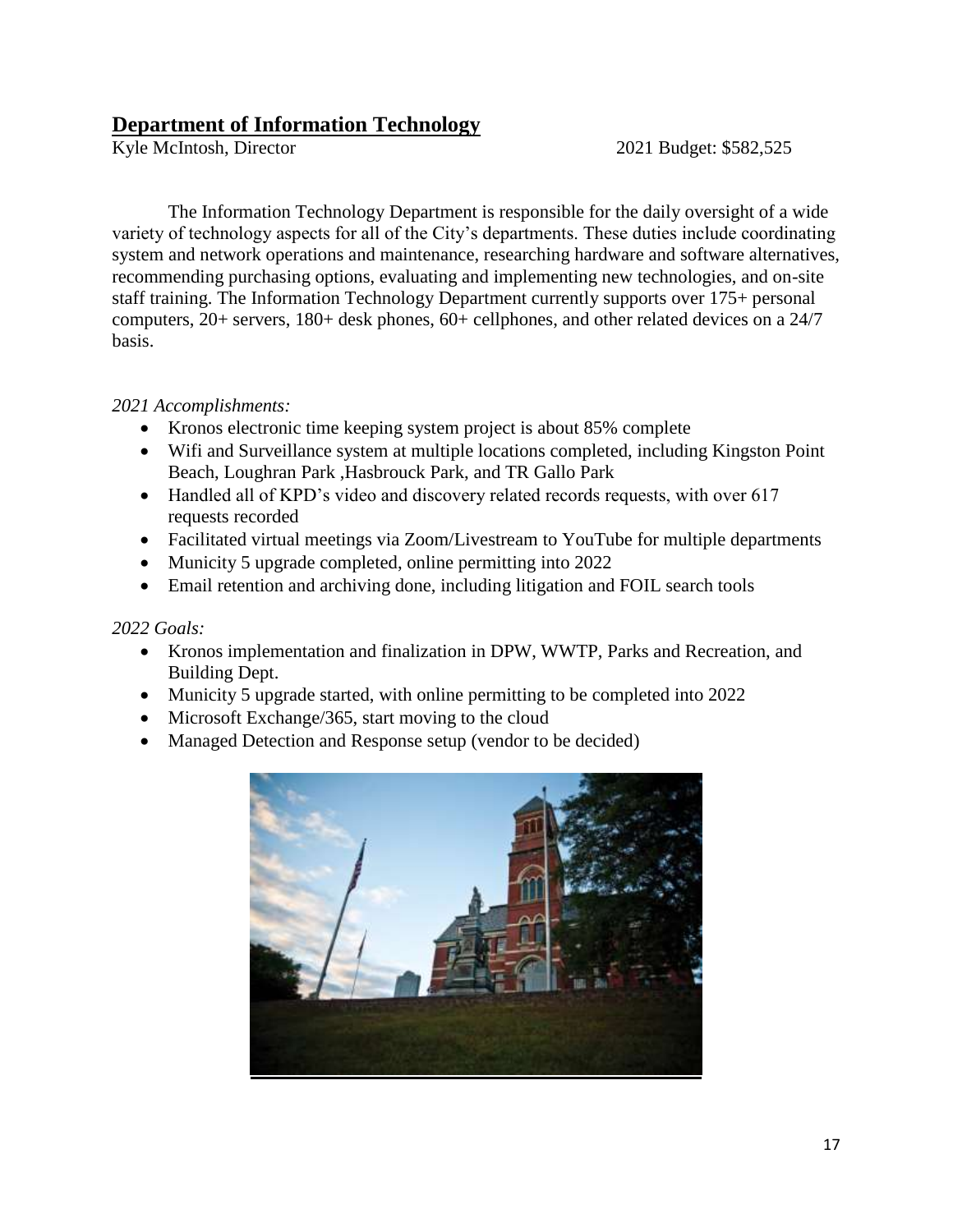## **Department of Information Technology**<br> **Kyle McIntosh, Director**

2021 Budget: \$582,525

The Information Technology Department is responsible for the daily oversight of a wide variety of technology aspects for all of the City's departments. These duties include coordinating system and network operations and maintenance, researching hardware and software alternatives, recommending purchasing options, evaluating and implementing new technologies, and on-site staff training. The Information Technology Department currently supports over 175+ personal computers, 20+ servers, 180+ desk phones, 60+ cellphones, and other related devices on a 24/7 basis.

## *2021 Accomplishments:*

- Kronos electronic time keeping system project is about 85% complete
- Wifi and Surveillance system at multiple locations completed, including Kingston Point Beach, Loughran Park ,Hasbrouck Park, and TR Gallo Park
- Handled all of KPD's video and discovery related records requests, with over 617 requests recorded
- Facilitated virtual meetings via Zoom/Livestream to YouTube for multiple departments
- Municity 5 upgrade completed, online permitting into 2022
- Email retention and archiving done, including litigation and FOIL search tools

- Kronos implementation and finalization in DPW, WWTP, Parks and Recreation, and Building Dept.
- Municity 5 upgrade started, with online permitting to be completed into 2022
- Microsoft Exchange/365, start moving to the cloud
- Managed Detection and Response setup (vendor to be decided)

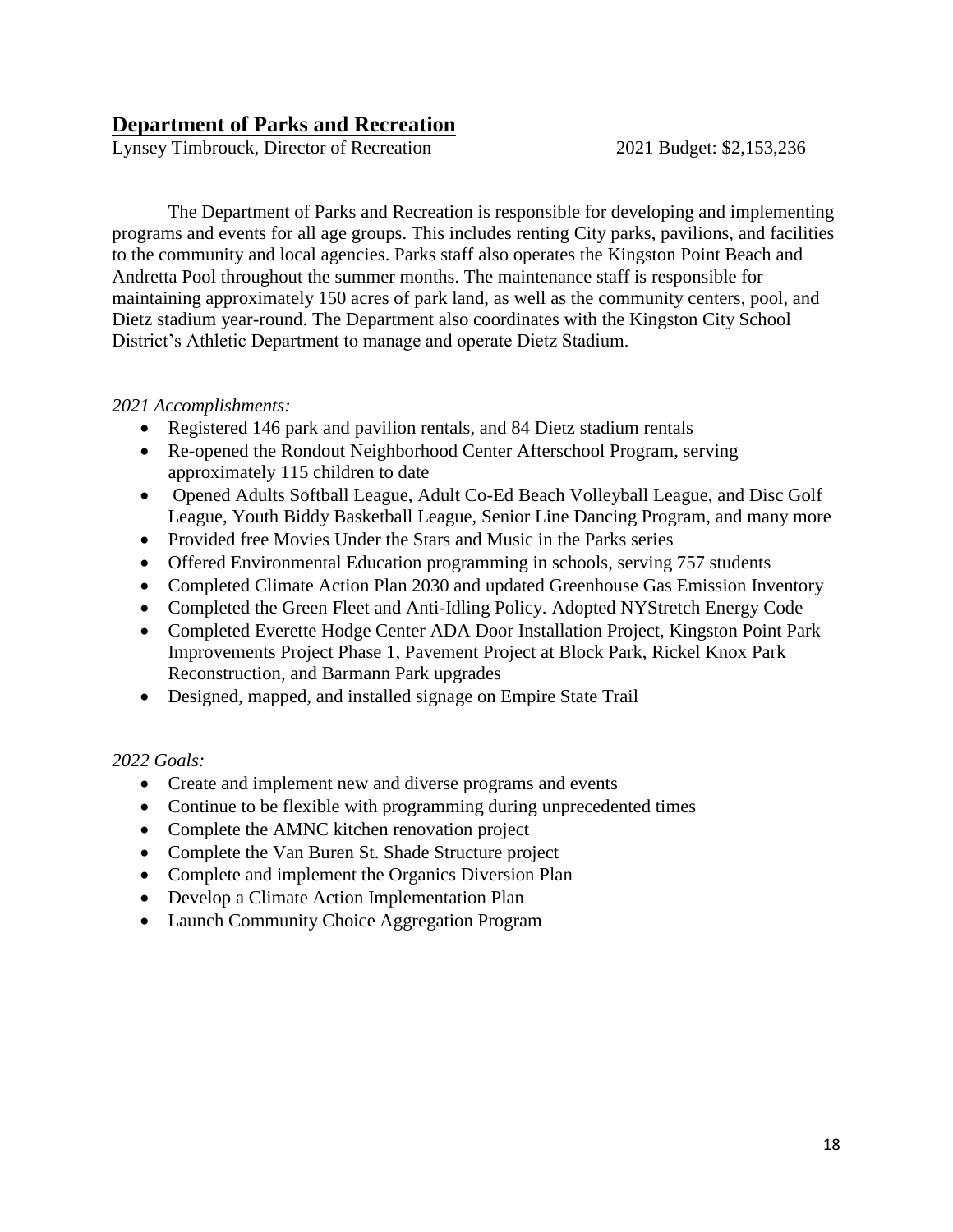## **Department of Parks and Recreation**

Lynsey Timbrouck, Director of Recreation 2021 Budget: \$2,153,236

The Department of Parks and Recreation is responsible for developing and implementing programs and events for all age groups. This includes renting City parks, pavilions, and facilities to the community and local agencies. Parks staff also operates the Kingston Point Beach and Andretta Pool throughout the summer months. The maintenance staff is responsible for maintaining approximately 150 acres of park land, as well as the community centers, pool, and Dietz stadium year-round. The Department also coordinates with the Kingston City School District's Athletic Department to manage and operate Dietz Stadium.

#### *2021 Accomplishments:*

- Registered 146 park and pavilion rentals, and 84 Dietz stadium rentals
- Re-opened the Rondout Neighborhood Center Afterschool Program, serving approximately 115 children to date
- Opened Adults Softball League, Adult Co-Ed Beach Volleyball League, and Disc Golf League, Youth Biddy Basketball League, Senior Line Dancing Program, and many more
- Provided free Movies Under the Stars and Music in the Parks series
- Offered Environmental Education programming in schools, serving 757 students
- Completed Climate Action Plan 2030 and updated Greenhouse Gas Emission Inventory
- Completed the Green Fleet and Anti-Idling Policy. Adopted NYStretch Energy Code
- Completed Everette Hodge Center ADA Door Installation Project, Kingston Point Park Improvements Project Phase 1, Pavement Project at Block Park, Rickel Knox Park Reconstruction, and Barmann Park upgrades
- Designed, mapped, and installed signage on Empire State Trail

- Create and implement new and diverse programs and events
- Continue to be flexible with programming during unprecedented times
- Complete the AMNC kitchen renovation project
- Complete the Van Buren St. Shade Structure project
- Complete and implement the Organics Diversion Plan
- Develop a Climate Action Implementation Plan
- Launch Community Choice Aggregation Program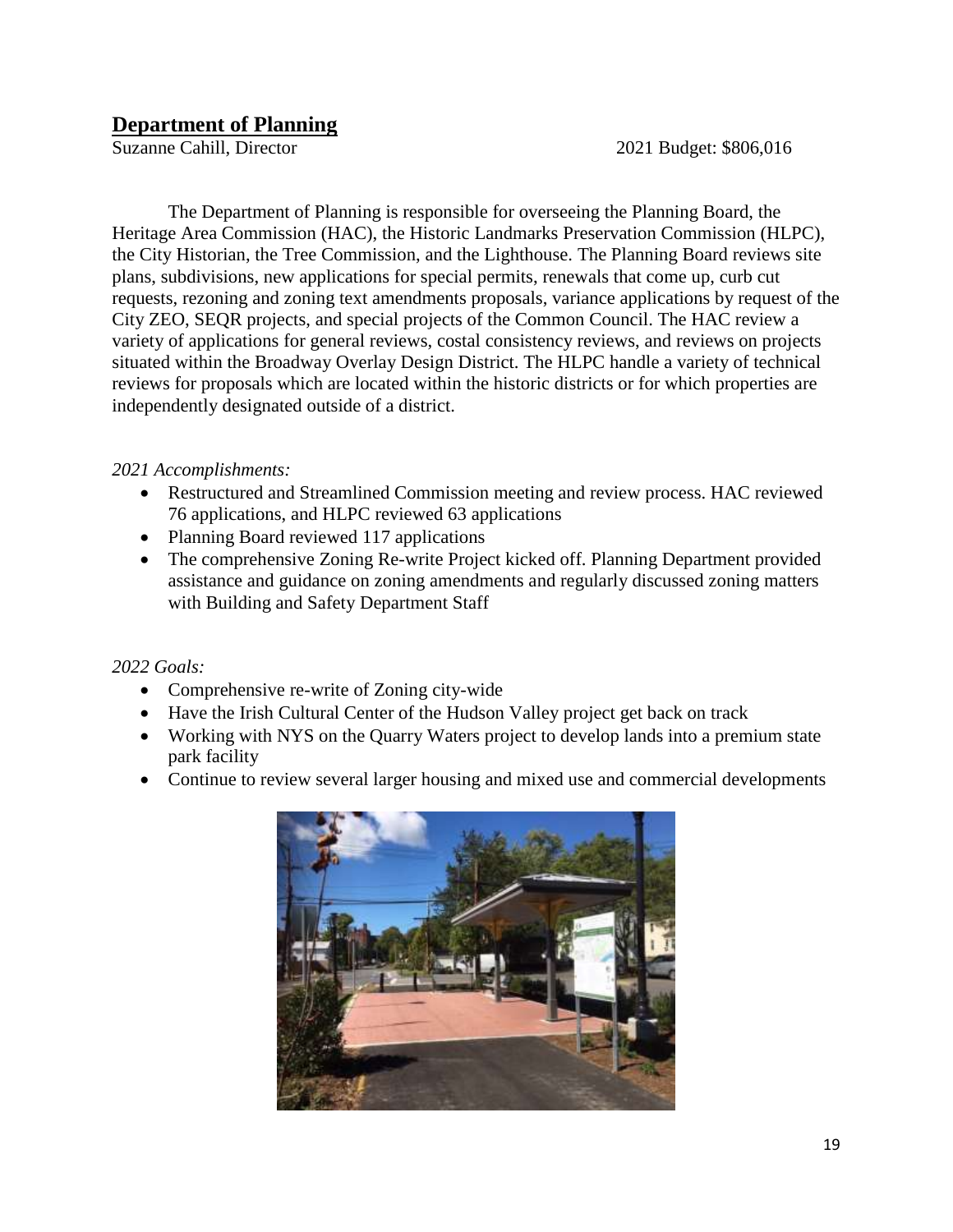## **Department of Planning**

Suzanne Cahill, Director 2021 Budget: \$806,016

The Department of Planning is responsible for overseeing the Planning Board, the Heritage Area Commission (HAC), the Historic Landmarks Preservation Commission (HLPC), the City Historian, the Tree Commission, and the Lighthouse. The Planning Board reviews site plans, subdivisions, new applications for special permits, renewals that come up, curb cut requests, rezoning and zoning text amendments proposals, variance applications by request of the City ZEO, SEQR projects, and special projects of the Common Council. The HAC review a variety of applications for general reviews, costal consistency reviews, and reviews on projects situated within the Broadway Overlay Design District. The HLPC handle a variety of technical reviews for proposals which are located within the historic districts or for which properties are independently designated outside of a district.

## *2021 Accomplishments:*

- Restructured and Streamlined Commission meeting and review process. HAC reviewed 76 applications, and HLPC reviewed 63 applications
- Planning Board reviewed 117 applications
- The comprehensive Zoning Re-write Project kicked off. Planning Department provided assistance and guidance on zoning amendments and regularly discussed zoning matters with Building and Safety Department Staff

- Comprehensive re-write of Zoning city-wide
- Have the Irish Cultural Center of the Hudson Valley project get back on track
- Working with NYS on the Quarry Waters project to develop lands into a premium state park facility
- Continue to review several larger housing and mixed use and commercial developments

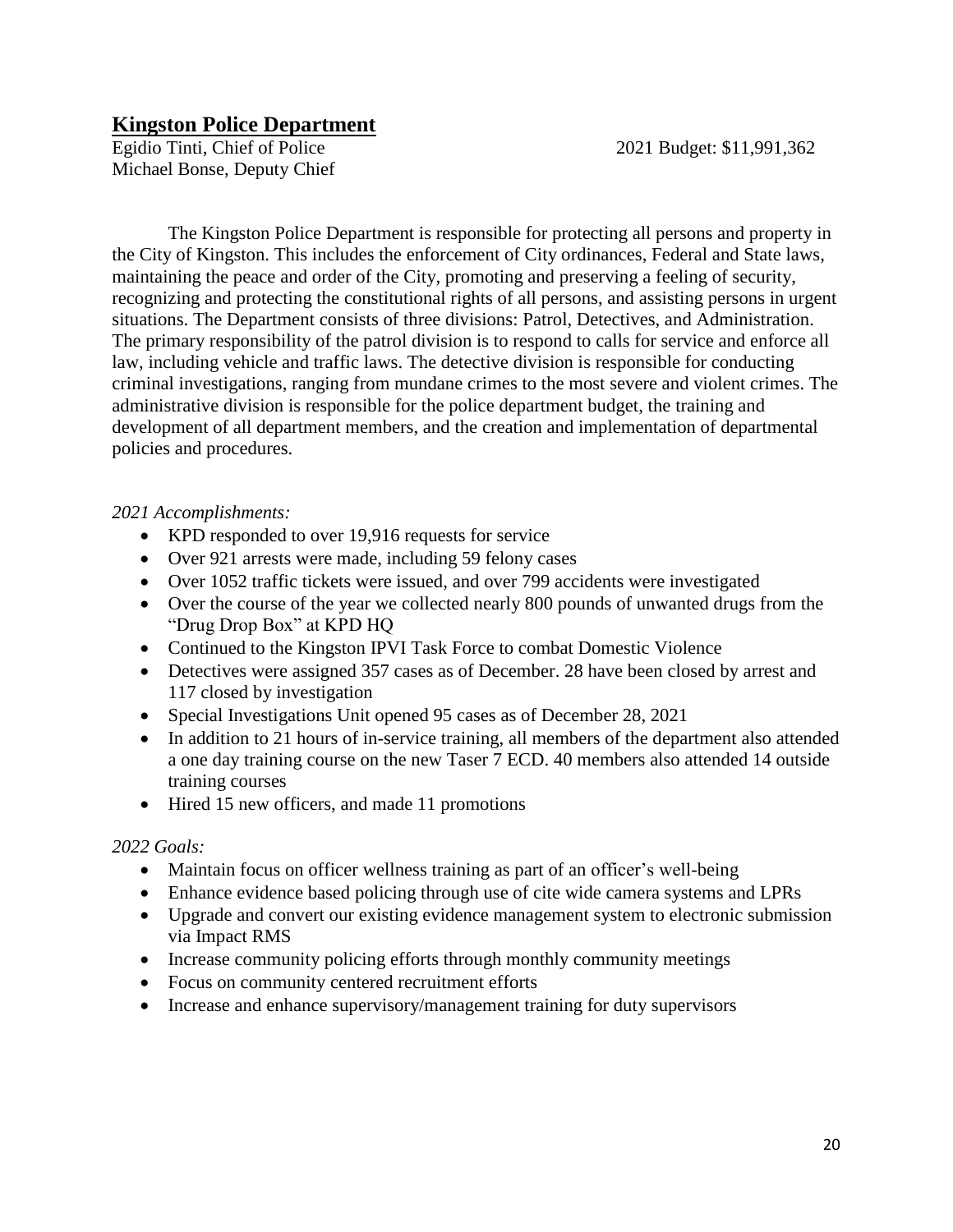## **Kingston Police Department**

Egidio Tinti, Chief of Police 2021 Budget: \$11,991,362 Michael Bonse, Deputy Chief

The Kingston Police Department is responsible for protecting all persons and property in the City of Kingston. This includes the enforcement of City ordinances, Federal and State laws, maintaining the peace and order of the City, promoting and preserving a feeling of security, recognizing and protecting the constitutional rights of all persons, and assisting persons in urgent situations. The Department consists of three divisions: Patrol, Detectives, and Administration. The primary responsibility of the patrol division is to respond to calls for service and enforce all law, including vehicle and traffic laws. The detective division is responsible for conducting criminal investigations, ranging from mundane crimes to the most severe and violent crimes. The administrative division is responsible for the police department budget, the training and development of all department members, and the creation and implementation of departmental policies and procedures.

## *2021 Accomplishments:*

- KPD responded to over 19,916 requests for service
- Over 921 arrests were made, including 59 felony cases
- Over 1052 traffic tickets were issued, and over 799 accidents were investigated
- Over the course of the year we collected nearly 800 pounds of unwanted drugs from the "Drug Drop Box" at KPD HQ
- Continued to the Kingston IPVI Task Force to combat Domestic Violence
- Detectives were assigned 357 cases as of December. 28 have been closed by arrest and 117 closed by investigation
- Special Investigations Unit opened 95 cases as of December 28, 2021
- In addition to 21 hours of in-service training, all members of the department also attended a one day training course on the new Taser 7 ECD. 40 members also attended 14 outside training courses
- Hired 15 new officers, and made 11 promotions

- Maintain focus on officer wellness training as part of an officer's well-being
- Enhance evidence based policing through use of cite wide camera systems and LPRs
- Upgrade and convert our existing evidence management system to electronic submission via Impact RMS
- Increase community policing efforts through monthly community meetings
- Focus on community centered recruitment efforts
- Increase and enhance supervisory/management training for duty supervisors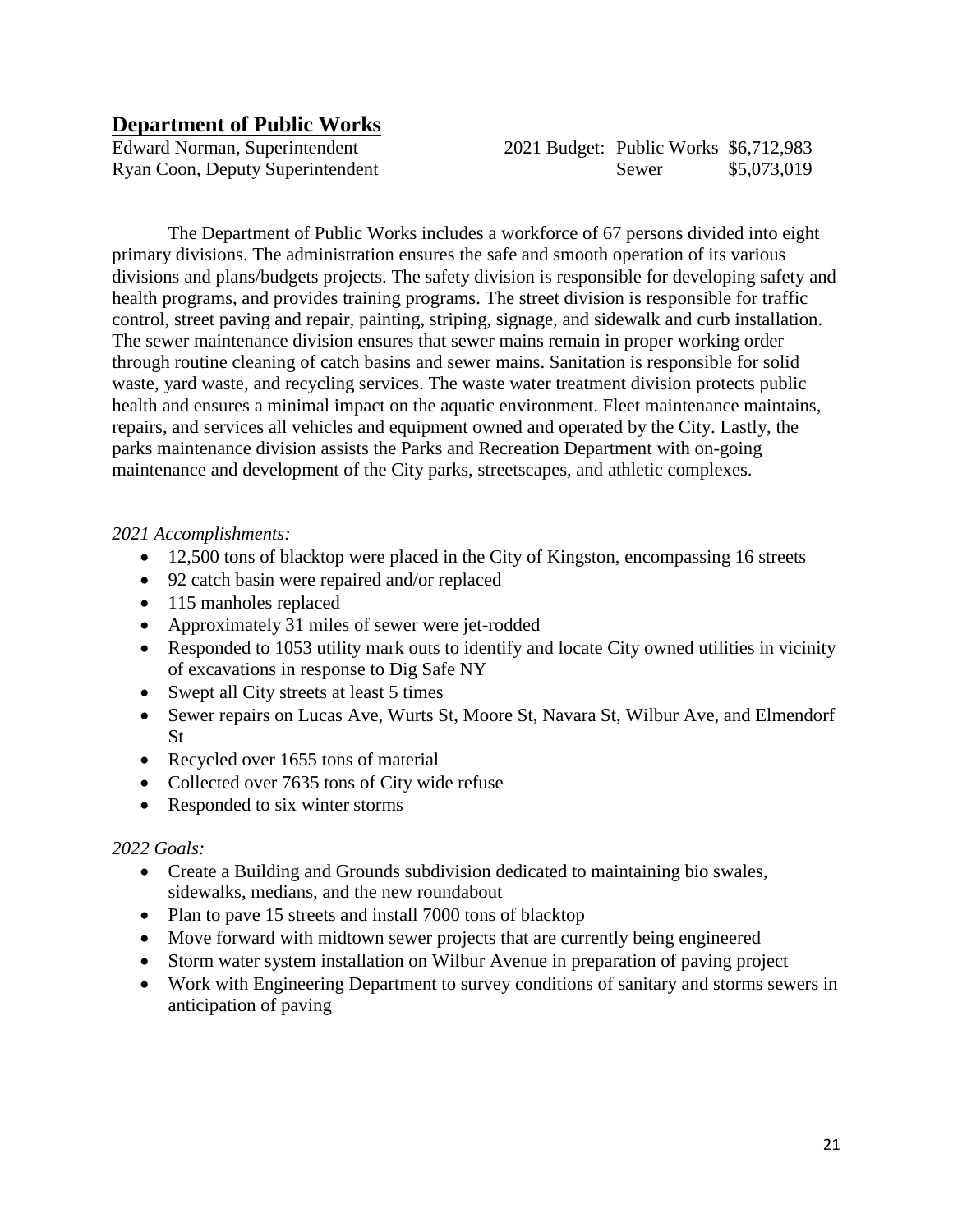## **Department of Public Works**

Edward Norman, Superintendent 2021 Budget: Public Works \$6,712,983 Ryan Coon, Deputy Superintendent Sewer \$5,073,019

The Department of Public Works includes a workforce of 67 persons divided into eight primary divisions. The administration ensures the safe and smooth operation of its various divisions and plans/budgets projects. The safety division is responsible for developing safety and health programs, and provides training programs. The street division is responsible for traffic control, street paving and repair, painting, striping, signage, and sidewalk and curb installation. The sewer maintenance division ensures that sewer mains remain in proper working order through routine cleaning of catch basins and sewer mains. Sanitation is responsible for solid waste, yard waste, and recycling services. The waste water treatment division protects public health and ensures a minimal impact on the aquatic environment. Fleet maintenance maintains, repairs, and services all vehicles and equipment owned and operated by the City. Lastly, the parks maintenance division assists the Parks and Recreation Department with on-going maintenance and development of the City parks, streetscapes, and athletic complexes.

## *2021 Accomplishments:*

- 12,500 tons of blacktop were placed in the City of Kingston, encompassing 16 streets
- 92 catch basin were repaired and/or replaced
- 115 manholes replaced
- Approximately 31 miles of sewer were jet-rodded
- Responded to 1053 utility mark outs to identify and locate City owned utilities in vicinity of excavations in response to Dig Safe NY
- Swept all City streets at least 5 times
- Sewer repairs on Lucas Ave, Wurts St, Moore St, Navara St, Wilbur Ave, and Elmendorf St
- Recycled over 1655 tons of material
- Collected over 7635 tons of City wide refuse
- Responded to six winter storms

- Create a Building and Grounds subdivision dedicated to maintaining bio swales, sidewalks, medians, and the new roundabout
- Plan to pave 15 streets and install 7000 tons of blacktop
- Move forward with midtown sewer projects that are currently being engineered
- Storm water system installation on Wilbur Avenue in preparation of paving project
- Work with Engineering Department to survey conditions of sanitary and storms sewers in anticipation of paving